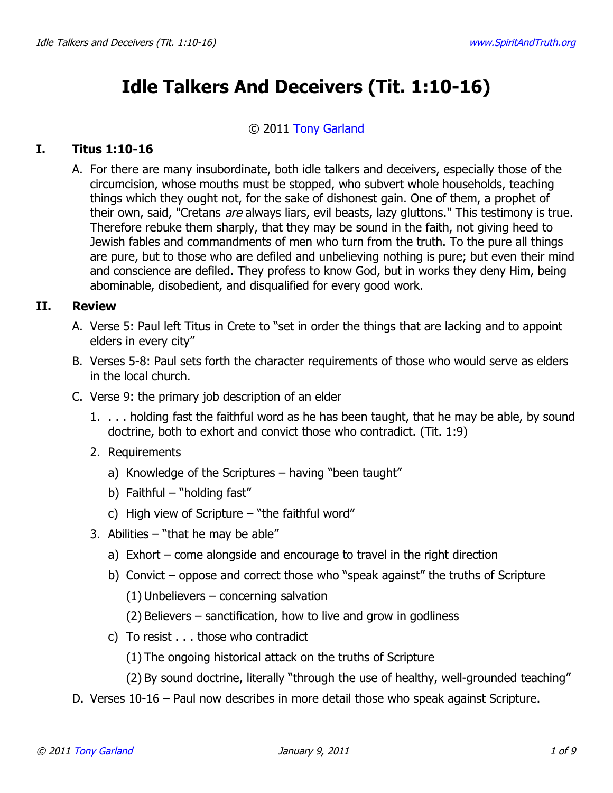# **Idle Talkers And Deceivers (Tit. 1:10-16)**

#### © 2011 [Tony Garland](http://www.spiritandtruth.org/id/tg.htm)

### **I. Titus 1:10-16**

A. For there are many insubordinate, both idle talkers and deceivers, especially those of the circumcision, whose mouths must be stopped, who subvert whole households, teaching things which they ought not, for the sake of dishonest gain. One of them, a prophet of their own, said, "Cretans *are* always liars, evil beasts, lazy gluttons." This testimony is true. Therefore rebuke them sharply, that they may be sound in the faith, not giving heed to Jewish fables and commandments of men who turn from the truth. To the pure all things are pure, but to those who are defiled and unbelieving nothing is pure; but even their mind and conscience are defiled. They profess to know God, but in works they deny Him, being abominable, disobedient, and disqualified for every good work.

#### **II. Review**

- A. Verse 5: Paul left Titus in Crete to "set in order the things that are lacking and to appoint elders in every city"
- B. Verses 5-8: Paul sets forth the character requirements of those who would serve as elders in the local church.
- C. Verse 9: the primary job description of an elder
	- 1. . . . holding fast the faithful word as he has been taught, that he may be able, by sound doctrine, both to exhort and convict those who contradict. (Tit. 1:9)
	- 2. Requirements
		- a) Knowledge of the Scriptures having "been taught"
		- b) Faithful "holding fast"
		- c) High view of Scripture "the faithful word"
	- 3. Abilities  $-$  "that he may be able"
		- a) Exhort come alongside and encourage to travel in the right direction
		- b) Convict oppose and correct those who "speak against" the truths of Scripture
			- (1) Unbelievers concerning salvation
			- (2) Believers sanctification, how to live and grow in godliness
		- c) To resist . . . those who contradict
			- (1) The ongoing historical attack on the truths of Scripture
			- (2) By sound doctrine, literally "through the use of healthy, well-grounded teaching"
- D. Verses 10-16 Paul now describes in more detail those who speak against Scripture.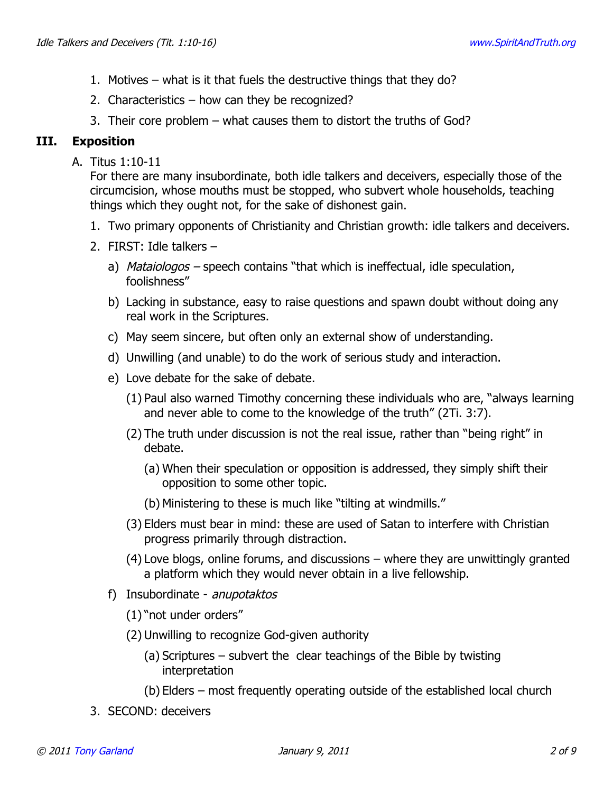- 1. Motives what is it that fuels the destructive things that they do?
- 2. Characteristics how can they be recognized?
- 3. Their core problem what causes them to distort the truths of God?

## **III. Exposition**

A. Titus 1:10-11

For there are many insubordinate, both idle talkers and deceivers, especially those of the circumcision, whose mouths must be stopped, who subvert whole households, teaching things which they ought not, for the sake of dishonest gain.

- 1. Two primary opponents of Christianity and Christian growth: idle talkers and deceivers.
- 2. FIRST: Idle talkers
	- a) Mataiologos speech contains "that which is ineffectual, idle speculation, foolishness"
	- b) Lacking in substance, easy to raise questions and spawn doubt without doing any real work in the Scriptures.
	- c) May seem sincere, but often only an external show of understanding.
	- d) Unwilling (and unable) to do the work of serious study and interaction.
	- e) Love debate for the sake of debate.
		- (1) Paul also warned Timothy concerning these individuals who are, "always learning and never able to come to the knowledge of the truth" (2Ti. 3:7).
		- (2) The truth under discussion is not the real issue, rather than "being right" in debate.
			- (a) When their speculation or opposition is addressed, they simply shift their opposition to some other topic.
			- (b) Ministering to these is much like "tilting at windmills."
		- (3) Elders must bear in mind: these are used of Satan to interfere with Christian progress primarily through distraction.
		- (4) Love blogs, online forums, and discussions where they are unwittingly granted a platform which they would never obtain in a live fellowship.
	- f) Insubordinate anupotaktos
		- (1) "not under orders"
		- (2) Unwilling to recognize God-given authority
			- (a) Scriptures subvert the clear teachings of the Bible by twisting interpretation
			- (b) Elders most frequently operating outside of the established local church
- 3. SECOND: deceivers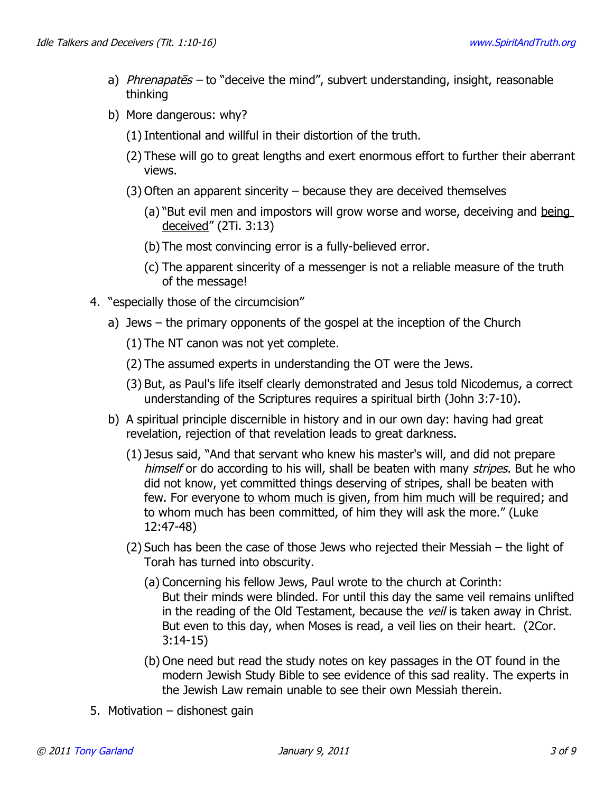- a) Phrenapates to "deceive the mind", subvert understanding, insight, reasonable thinking
- b) More dangerous: why?
	- (1) Intentional and willful in their distortion of the truth.
	- (2) These will go to great lengths and exert enormous effort to further their aberrant views.
	- (3) Often an apparent sincerity because they are deceived themselves
		- (a) "But evil men and impostors will grow worse and worse, deceiving and being deceived" (2Ti. 3:13)
		- (b) The most convincing error is a fully-believed error.
		- (c) The apparent sincerity of a messenger is not a reliable measure of the truth of the message!
- 4. "especially those of the circumcision"
	- a) Jews the primary opponents of the gospel at the inception of the Church
		- (1) The NT canon was not yet complete.
		- (2) The assumed experts in understanding the OT were the Jews.
		- (3) But, as Paul's life itself clearly demonstrated and Jesus told Nicodemus, a correct understanding of the Scriptures requires a spiritual birth (John 3:7-10).
	- b) A spiritual principle discernible in history and in our own day: having had great revelation, rejection of that revelation leads to great darkness.
		- (1) Jesus said, "And that servant who knew his master's will, and did not prepare himself or do according to his will, shall be beaten with many stripes. But he who did not know, yet committed things deserving of stripes, shall be beaten with few. For everyone to whom much is given, from him much will be required; and to whom much has been committed, of him they will ask the more." (Luke 12:47-48)
		- (2) Such has been the case of those Jews who rejected their Messiah the light of Torah has turned into obscurity.
			- (a) Concerning his fellow Jews, Paul wrote to the church at Corinth: But their minds were blinded. For until this day the same veil remains unlifted in the reading of the Old Testament, because the veil is taken away in Christ. But even to this day, when Moses is read, a veil lies on their heart. (2Cor. 3:14-15)
			- (b) One need but read the study notes on key passages in the OT found in the modern Jewish Study Bible to see evidence of this sad reality. The experts in the Jewish Law remain unable to see their own Messiah therein.
- 5. Motivation dishonest gain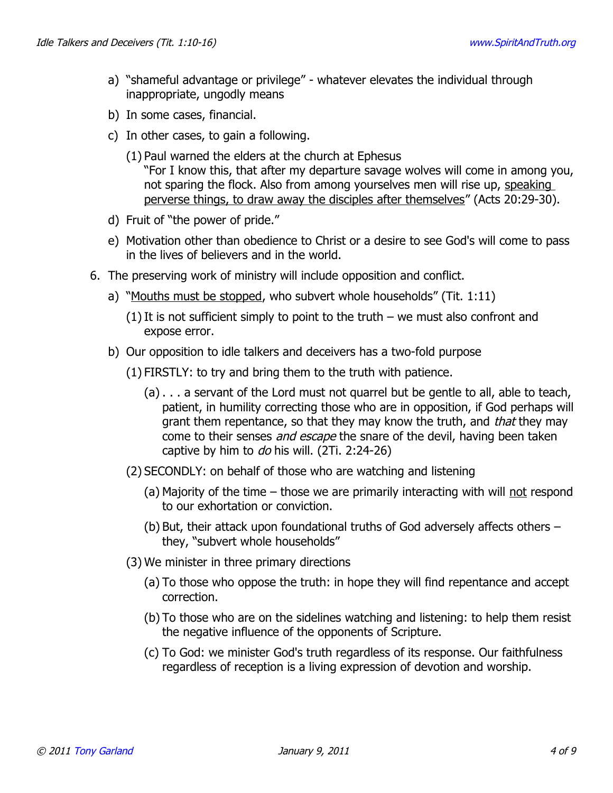- a) "shameful advantage or privilege" whatever elevates the individual through inappropriate, ungodly means
- b) In some cases, financial.
- c) In other cases, to gain a following.
	- (1) Paul warned the elders at the church at Ephesus "For I know this, that after my departure savage wolves will come in among you, not sparing the flock. Also from among yourselves men will rise up, speaking perverse things, to draw away the disciples after themselves" (Acts 20:29-30).
- d) Fruit of "the power of pride."
- e) Motivation other than obedience to Christ or a desire to see God's will come to pass in the lives of believers and in the world.
- 6. The preserving work of ministry will include opposition and conflict.
	- a) "Mouths must be stopped, who subvert whole households" (Tit. 1:11)
		- (1) It is not sufficient simply to point to the truth we must also confront and expose error.
	- b) Our opposition to idle talkers and deceivers has a two-fold purpose
		- (1) FIRSTLY: to try and bring them to the truth with patience.
			- (a) . . . a servant of the Lord must not quarrel but be gentle to all, able to teach, patient, in humility correcting those who are in opposition, if God perhaps will grant them repentance, so that they may know the truth, and that they may come to their senses *and escape* the snare of the devil, having been taken captive by him to do his will. (2Ti. 2:24-26)
		- (2) SECONDLY: on behalf of those who are watching and listening
			- (a) Majority of the time  $-$  those we are primarily interacting with will not respond to our exhortation or conviction.
			- (b) But, their attack upon foundational truths of God adversely affects others they, "subvert whole households"
		- (3) We minister in three primary directions
			- (a) To those who oppose the truth: in hope they will find repentance and accept correction.
			- (b) To those who are on the sidelines watching and listening: to help them resist the negative influence of the opponents of Scripture.
			- (c) To God: we minister God's truth regardless of its response. Our faithfulness regardless of reception is a living expression of devotion and worship.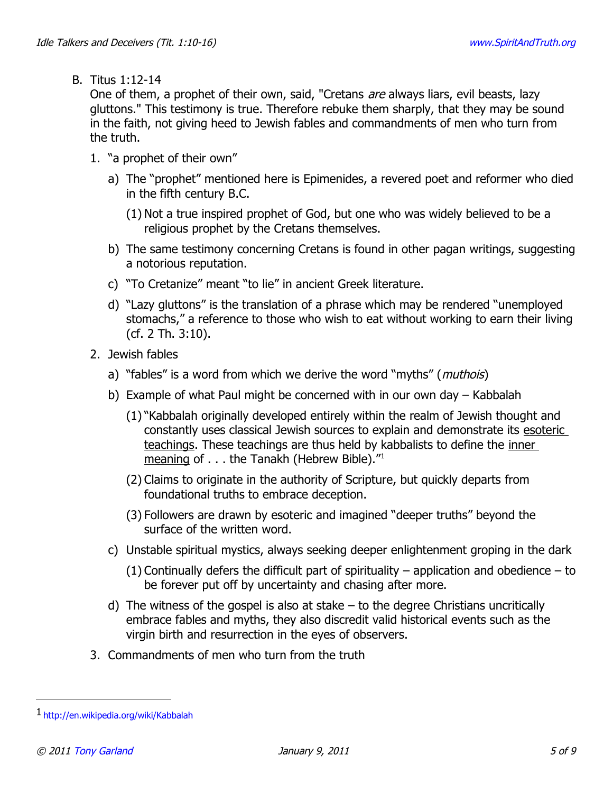B. Titus 1:12-14

One of them, a prophet of their own, said, "Cretans are always liars, evil beasts, lazy gluttons." This testimony is true. Therefore rebuke them sharply, that they may be sound in the faith, not giving heed to Jewish fables and commandments of men who turn from the truth.

- 1. "a prophet of their own"
	- a) The "prophet" mentioned here is Epimenides, a revered poet and reformer who died in the fifth century B.C.
		- (1) Not a true inspired prophet of God, but one who was widely believed to be a religious prophet by the Cretans themselves.
	- b) The same testimony concerning Cretans is found in other pagan writings, suggesting a notorious reputation.
	- c) "To Cretanize" meant "to lie" in ancient Greek literature.
	- d) "Lazy gluttons" is the translation of a phrase which may be rendered "unemployed stomachs," a reference to those who wish to eat without working to earn their living (cf. 2 Th. 3:10).
- 2. Jewish fables
	- a) "fables" is a word from which we derive the word "myths" (*muthois*)
	- b) Example of what Paul might be concerned with in our own day Kabbalah
		- (1) "Kabbalah originally developed entirely within the realm of Jewish thought and constantly uses classical Jewish sources to explain and demonstrate its esoteric teachings. These teachings are thus held by kabbalists to define the inner meaning of . . . the Tanakh (Hebrew Bible)."<sup>[1](#page-4-0)</sup>
		- (2) Claims to originate in the authority of Scripture, but quickly departs from foundational truths to embrace deception.
		- (3) Followers are drawn by esoteric and imagined "deeper truths" beyond the surface of the written word.
	- c) Unstable spiritual mystics, always seeking deeper enlightenment groping in the dark
		- (1) Continually defers the difficult part of spirituality application and obedience to be forever put off by uncertainty and chasing after more.
	- d) The witness of the gospel is also at stake to the degree Christians uncritically embrace fables and myths, they also discredit valid historical events such as the virgin birth and resurrection in the eyes of observers.
- 3. Commandments of men who turn from the truth

<span id="page-4-0"></span><sup>1</sup> <http://en.wikipedia.org/wiki/Kabbalah>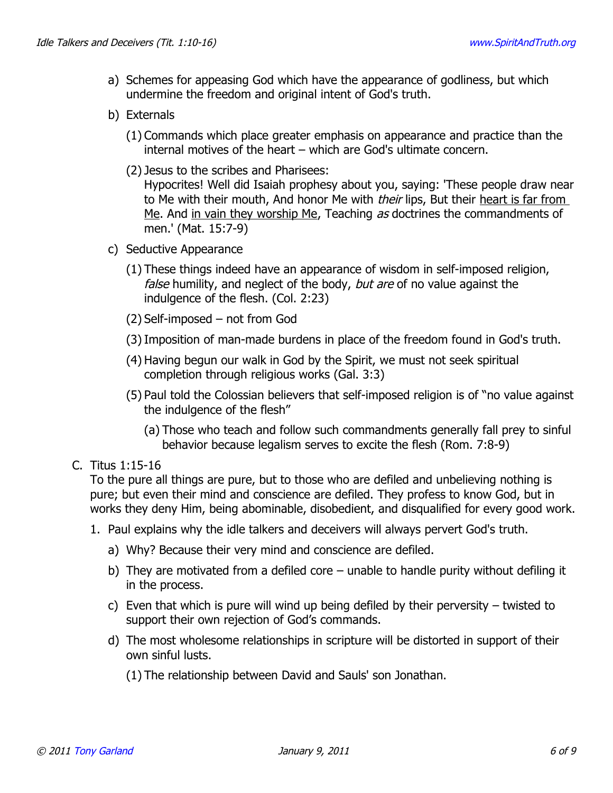- a) Schemes for appeasing God which have the appearance of godliness, but which undermine the freedom and original intent of God's truth.
- b) Externals
	- (1) Commands which place greater emphasis on appearance and practice than the internal motives of the heart – which are God's ultimate concern.
	- (2) Jesus to the scribes and Pharisees:

Hypocrites! Well did Isaiah prophesy about you, saying: 'These people draw near to Me with their mouth, And honor Me with *their* lips, But their heart is far from Me. And in vain they worship Me, Teaching as doctrines the commandments of men.' (Mat. 15:7-9)

- c) Seductive Appearance
	- (1) These things indeed have an appearance of wisdom in self-imposed religion, false humility, and neglect of the body, but are of no value against the indulgence of the flesh. (Col. 2:23)
	- (2) Self-imposed not from God
	- (3) Imposition of man-made burdens in place of the freedom found in God's truth.
	- (4) Having begun our walk in God by the Spirit, we must not seek spiritual completion through religious works (Gal. 3:3)
	- (5) Paul told the Colossian believers that self-imposed religion is of "no value against the indulgence of the flesh"
		- (a) Those who teach and follow such commandments generally fall prey to sinful behavior because legalism serves to excite the flesh (Rom. 7:8-9)
- C. Titus 1:15-16

To the pure all things are pure, but to those who are defiled and unbelieving nothing is pure; but even their mind and conscience are defiled. They profess to know God, but in works they deny Him, being abominable, disobedient, and disqualified for every good work.

- 1. Paul explains why the idle talkers and deceivers will always pervert God's truth.
	- a) Why? Because their very mind and conscience are defiled.
	- b) They are motivated from a defiled core unable to handle purity without defiling it in the process.
	- c) Even that which is pure will wind up being defiled by their perversity twisted to support their own rejection of God's commands.
	- d) The most wholesome relationships in scripture will be distorted in support of their own sinful lusts.
		- (1) The relationship between David and Sauls' son Jonathan.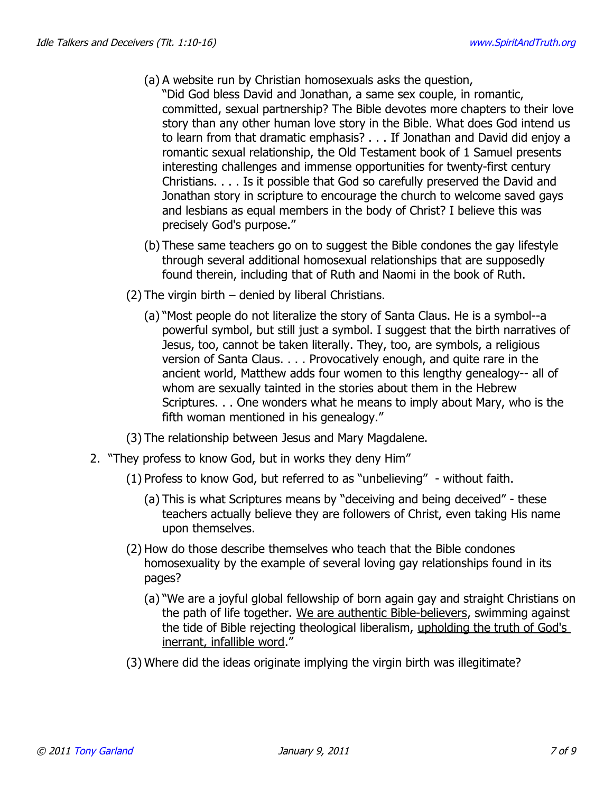- (a) A website run by Christian homosexuals asks the question, "Did God bless David and Jonathan, a same sex couple, in romantic, committed, sexual partnership? The Bible devotes more chapters to their love story than any other human love story in the Bible. What does God intend us to learn from that dramatic emphasis? . . . If Jonathan and David did enjoy a romantic sexual relationship, the Old Testament book of 1 Samuel presents interesting challenges and immense opportunities for twenty-first century Christians. . . . Is it possible that God so carefully preserved the David and Jonathan story in scripture to encourage the church to welcome saved gays and lesbians as equal members in the body of Christ? I believe this was precisely God's purpose."
- (b) These same teachers go on to suggest the Bible condones the gay lifestyle through several additional homosexual relationships that are supposedly found therein, including that of Ruth and Naomi in the book of Ruth.
- (2) The virgin birth denied by liberal Christians.
	- (a) "Most people do not literalize the story of Santa Claus. He is a symbol--a powerful symbol, but still just a symbol. I suggest that the birth narratives of Jesus, too, cannot be taken literally. They, too, are symbols, a religious version of Santa Claus. . . . Provocatively enough, and quite rare in the ancient world, Matthew adds four women to this lengthy genealogy-- all of whom are sexually tainted in the stories about them in the Hebrew Scriptures. . . One wonders what he means to imply about Mary, who is the fifth woman mentioned in his genealogy."
- (3) The relationship between Jesus and Mary Magdalene.
- 2. "They profess to know God, but in works they deny Him"
	- (1) Profess to know God, but referred to as "unbelieving" without faith.
		- (a) This is what Scriptures means by "deceiving and being deceived" these teachers actually believe they are followers of Christ, even taking His name upon themselves.
	- (2) How do those describe themselves who teach that the Bible condones homosexuality by the example of several loving gay relationships found in its pages?
		- (a) "We are a joyful global fellowship of born again gay and straight Christians on the path of life together. We are authentic Bible-believers, swimming against the tide of Bible rejecting theological liberalism, upholding the truth of God's inerrant, infallible word."
	- (3) Where did the ideas originate implying the virgin birth was illegitimate?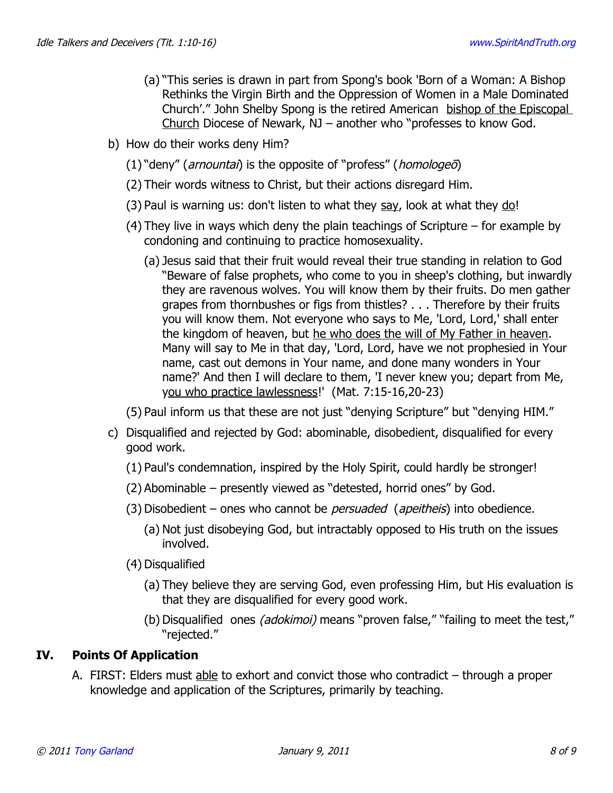- (a) "This series is drawn in part from Spong's book 'Born of a Woman: A Bishop Rethinks the Virgin Birth and the Oppression of Women in a Male Dominated Church'." John Shelby Spong is the retired American bishop of the Episcopal Church Diocese of Newark, NJ – another who "professes to know God.
- b) How do their works deny Him?
	- (1) "deny" (*arnountai*) is the opposite of "profess" (*homologeō*)
	- (2) Their words witness to Christ, but their actions disregard Him.
	- (3) Paul is warning us: don't listen to what they say, look at what they do!
	- (4) They live in ways which deny the plain teachings of Scripture for example by condoning and continuing to practice homosexuality.
		- (a) Jesus said that their fruit would reveal their true standing in relation to God "Beware of false prophets, who come to you in sheep's clothing, but inwardly they are ravenous wolves. You will know them by their fruits. Do men gather grapes from thornbushes or figs from thistles? . . . Therefore by their fruits you will know them. Not everyone who says to Me, 'Lord, Lord,' shall enter the kingdom of heaven, but he who does the will of My Father in heaven. Many will say to Me in that day, 'Lord, Lord, have we not prophesied in Your name, cast out demons in Your name, and done many wonders in Your name?' And then I will declare to them, 'I never knew you; depart from Me, you who practice lawlessness!' (Mat. 7:15-16,20-23)

(5) Paul inform us that these are not just "denying Scripture" but "denying HIM."

- c) Disqualified and rejected by God: abominable, disobedient, disqualified for every good work.
	- (1) Paul's condemnation, inspired by the Holy Spirit, could hardly be stronger!
	- (2) Abominable presently viewed as "detested, horrid ones" by God.
	- (3) Disobedient ones who cannot be *persuaded (apeitheis*) into obedience.
		- (a) Not just disobeying God, but intractably opposed to His truth on the issues involved.
	- (4) Disqualified
		- (a) They believe they are serving God, even professing Him, but His evaluation is that they are disqualified for every good work.
		- (b) Disqualified ones *(adokimoi)* means "proven false," "failing to meet the test," "rejected."

## **IV. Points Of Application**

A. FIRST: Elders must able to exhort and convict those who contradict – through a proper knowledge and application of the Scriptures, primarily by teaching.